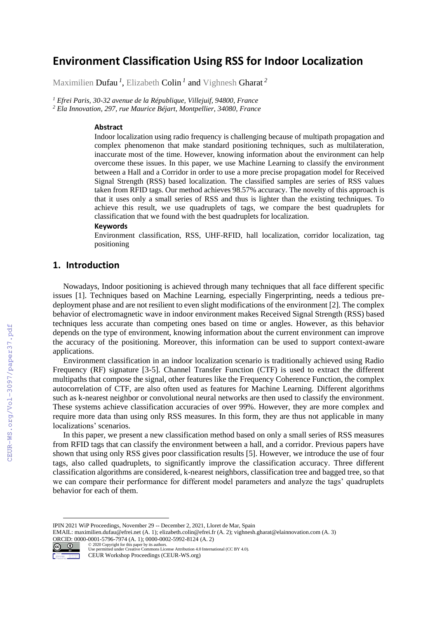# **Environment Classification Using RSS for Indoor Localization**

Maximilien Dufau *<sup>1</sup>* , Elizabeth Colin *<sup>1</sup>* and Vighnesh Gharat *<sup>2</sup>*

*<sup>1</sup> Efrei Paris, 30-32 avenue de la République, Villejuif, 94800, France <sup>2</sup> Ela Innovation, 297, rue Maurice Béjart, Montpellier, 34080, France*

#### **Abstract**

Indoor localization using radio frequency is challenging because of multipath propagation and complex phenomenon that make standard positioning techniques, such as multilateration, inaccurate most of the time. However, knowing information about the environment can help overcome these issues. In this paper, we use Machine Learning to classify the environment between a Hall and a Corridor in order to use a more precise propagation model for Received Signal Strength (RSS) based localization. The classified samples are series of RSS values taken from RFID tags. Our method achieves 98.57% accuracy. The novelty of this approach is that it uses only a small series of RSS and thus is lighter than the existing techniques. To achieve this result, we use quadruplets of tags, we compare the best quadruplets for classification that we found with the best quadruplets for localization.

#### **Keywords**

Environment classification, RSS, UHF-RFID, hall localization, corridor localization, tag positioning

# **1. Introduction**

Nowadays, Indoor positioning is achieved through many techniques that all face different specific issues [1]. Techniques based on Machine Learning, especially Fingerprinting, needs a tedious predeployment phase and are not resilient to even slight modifications of the environment [2]. The complex behavior of electromagnetic wave in indoor environment makes Received Signal Strength (RSS) based techniques less accurate than competing ones based on time or angles. However, as this behavior depends on the type of environment, knowing information about the current environment can improve the accuracy of the positioning. Moreover, this information can be used to support context-aware applications.

Environment classification in an indoor localization scenario is traditionally achieved using Radio Frequency (RF) signature [3-5]. Channel Transfer Function (CTF) is used to extract the different multipaths that compose the signal, other features like the Frequency Coherence Function, the complex autocorrelation of CTF, are also often used as features for Machine Learning. Different algorithms such as k-nearest neighbor or convolutional neural networks are then used to classify the environment. These systems achieve classification accuracies of over 99%. However, they are more complex and require more data than using only RSS measures. In this form, they are thus not applicable in many localizations' scenarios.

In this paper, we present a new classification method based on only a small series of RSS measures from RFID tags that can classify the environment between a hall, and a corridor. Previous papers have shown that using only RSS gives poor classification results [5]. However, we introduce the use of four tags, also called quadruplets, to significantly improve the classification accuracy. Three different classification algorithms are considered, k-nearest neighbors, classification tree and bagged tree, so that we can compare their performance for different model parameters and analyze the tags' quadruplets behavior for each of them.

EMAIL[: maximilien.dufau@efrei.net \(](mailto:maximilien.dufau@efrei.net)A. 1)[; elizabeth.colin@efrei.fr \(](mailto:elizabeth.colin@efrei.fr)A. 2); [vighnesh.gharat@elainnovation.com \(](mailto:vighnesh.gharat@elainnovation.com)A. 3) ORCID: 0000-0001-5796-7974 (A. 1); 0000-0002-5992-8124 (A. 2)<br>  $\bigodot$  0  $\bigodot$  0  $\bigodot$  2020 Copyright for this paper by its authors.



<sup>©️</sup> 2020 Copyright for this paper by its authors. Use permitted under Creative Commons License Attribution 4.0 International (CC BY 4.0). CEUR Workshop Proceedings (CEUR-WS.org)

IPIN 2021 WiP Proceedings, November 29 -- December 2, 2021, Lloret de Mar, Spain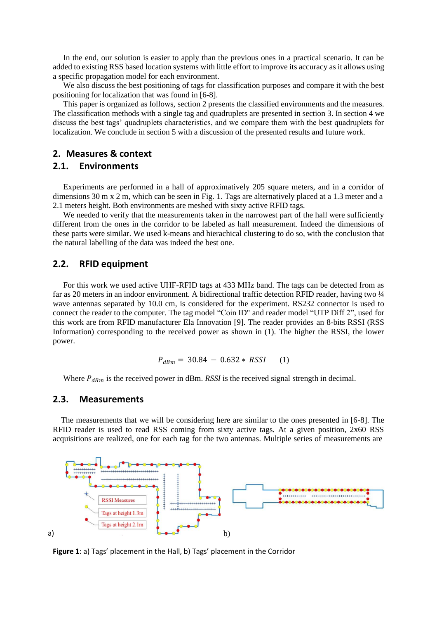In the end, our solution is easier to apply than the previous ones in a practical scenario. It can be added to existing RSS based location systems with little effort to improve its accuracy as it allows using a specific propagation model for each environment.

We also discuss the best positioning of tags for classification purposes and compare it with the best positioning for localization that was found in [6-8].

This paper is organized as follows, section 2 presents the classified environments and the measures. The classification methods with a single tag and quadruplets are presented in section 3. In section 4 we discuss the best tags' quadruplets characteristics, and we compare them with the best quadruplets for localization. We conclude in section 5 with a discussion of the presented results and future work.

# **2. Measures & context**

#### **2.1. Environments**

Experiments are performed in a hall of approximatively 205 square meters, and in a corridor of dimensions 30 m x 2 m, which can be seen in Fig. 1. Tags are alternatively placed at a 1.3 meter and a 2.1 meters height. Both environments are meshed with sixty active RFID tags.

We needed to verify that the measurements taken in the narrowest part of the hall were sufficiently different from the ones in the corridor to be labeled as hall measurement. Indeed the dimensions of these parts were similar. We used k-means and hierachical clustering to do so, with the conclusion that the natural labelling of the data was indeed the best one.

#### **2.2. RFID equipment**

For this work we used active UHF-RFID tags at 433 MHz band. The tags can be detected from as far as 20 meters in an indoor environment. A bidirectional traffic detection RFID reader, having two  $\frac{1}{4}$ wave antennas separated by 10.0 cm, is considered for the experiment. RS232 connector is used to connect the reader to the computer. The tag model "Coin ID" and reader model "UTP Diff 2", used for this work are from RFID manufacturer Ela Innovation [9]. The reader provides an 8-bits RSSI (RSS Information) corresponding to the received power as shown in (1). The higher the RSSI, the lower power.

$$
P_{dBm} = 30.84 - 0.632 * RSSI \qquad (1)
$$

Where  $P_{dBm}$  is the received power in dBm. *RSSI* is the received signal strength in decimal.

### **2.3. Measurements**

The measurements that we will be considering here are similar to the ones presented in [6-8]. The RFID reader is used to read RSS coming from sixty active tags. At a given position, 2x60 RSS acquisitions are realized, one for each tag for the two antennas. Multiple series of measurements are



**Figure 1**: a) Tags' placement in the Hall, b) Tags' placement in the Corridor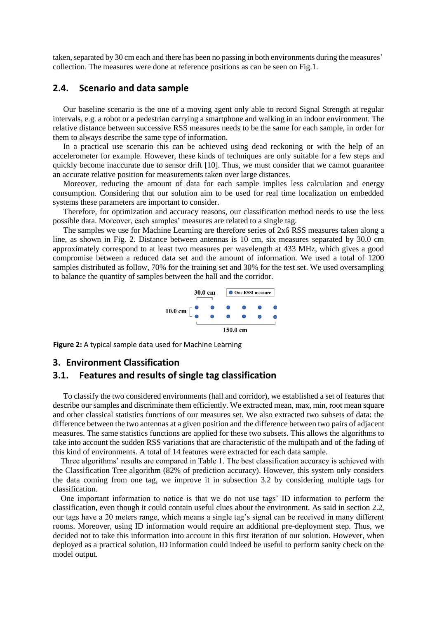taken, separated by 30 cm each and there has been no passing in both environments during the measures' collection. The measures were done at reference positions as can be seen on Fig.1.

# **2.4. Scenario and data sample**

Our baseline scenario is the one of a moving agent only able to record Signal Strength at regular intervals, e.g. a robot or a pedestrian carrying a smartphone and walking in an indoor environment. The relative distance between successive RSS measures needs to be the same for each sample, in order for them to always describe the same type of information.

In a practical use scenario this can be achieved using dead reckoning or with the help of an accelerometer for example. However, these kinds of techniques are only suitable for a few steps and quickly become inaccurate due to sensor drift [10]. Thus, we must consider that we cannot guarantee an accurate relative position for measurements taken over large distances.

Moreover, reducing the amount of data for each sample implies less calculation and energy consumption. Considering that our solution aim to be used for real time localization on embedded systems these parameters are important to consider.

Therefore, for optimization and accuracy reasons, our classification method needs to use the less possible data. Moreover, each samples' measures are related to a single tag.

The samples we use for Machine Learning are therefore series of 2x6 RSS measures taken along a line, as shown in Fig. 2. Distance between antennas is 10 cm, six measures separated by 30.0 cm approximately correspond to at least two measures per wavelength at 433 MHz, which gives a good compromise between a reduced data set and the amount of information. We used a total of 1200 samples distributed as follow, 70% for the training set and 30% for the test set. We used oversampling to balance the quantity of samples between the hall and the corridor.



**Figure 2:** A typical sample data used for Machine Learning

# **3. Environment Classification**

#### **3.1. Features and results of single tag classification**

To classify the two considered environments (hall and corridor), we established a set of features that describe our samples and discriminate them efficiently. We extracted mean, max, min, root mean square and other classical statistics functions of our measures set. We also extracted two subsets of data: the difference between the two antennas at a given position and the difference between two pairs of adjacent measures. The same statistics functions are applied for these two subsets. This allows the algorithms to take into account the sudden RSS variations that are characteristic of the multipath and of the fading of this kind of environments. A total of 14 features were extracted for each data sample.

Three algorithms' results are compared in Table 1. The best classification accuracy is achieved with the Classification Tree algorithm (82% of prediction accuracy). However, this system only considers the data coming from one tag, we improve it in subsection 3.2 by considering multiple tags for classification.

One important information to notice is that we do not use tags' ID information to perform the classification, even though it could contain useful clues about the environment. As said in section 2.2, our tags have a 20 meters range, which means a single tag's signal can be received in many different rooms. Moreover, using ID information would require an additional pre-deployment step. Thus, we decided not to take this information into account in this first iteration of our solution. However, when deployed as a practical solution, ID information could indeed be useful to perform sanity check on the model output.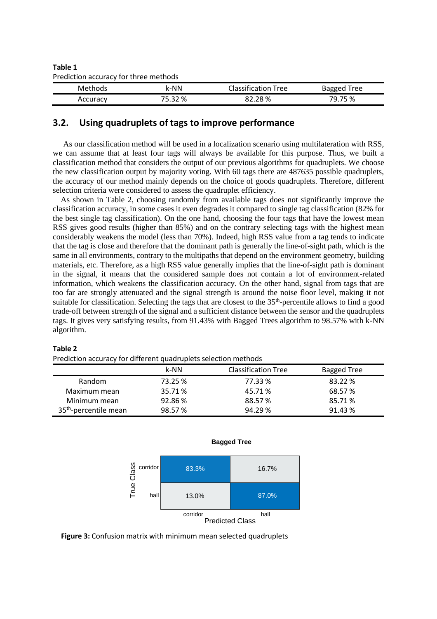| Table 1                               |
|---------------------------------------|
| Prediction accuracy for three methods |

| Methods  | k-NN    | Classification Tree | Bagged Tree |  |
|----------|---------|---------------------|-------------|--|
| Accuracy | 75.32 % | 82.28%              | 79.75 %     |  |
|          |         |                     |             |  |

# **3.2. Using quadruplets of tags to improve performance**

As our classification method will be used in a localization scenario using multilateration with RSS, we can assume that at least four tags will always be available for this purpose. Thus, we built a classification method that considers the output of our previous algorithms for quadruplets. We choose the new classification output by majority voting. With 60 tags there are 487635 possible quadruplets, the accuracy of our method mainly depends on the choice of goods quadruplets. Therefore, different selection criteria were considered to assess the quadruplet efficiency.

As shown in Table 2, choosing randomly from available tags does not significantly improve the classification accuracy, in some cases it even degrades it compared to single tag classification (82% for the best single tag classification). On the one hand, choosing the four tags that have the lowest mean RSS gives good results (higher than 85%) and on the contrary selecting tags with the highest mean considerably weakens the model (less than 70%). Indeed, high RSS value from a tag tends to indicate that the tag is close and therefore that the dominant path is generally the line-of-sight path, which is the same in all environments, contrary to the multipaths that depend on the environment geometry, building materials, etc. Therefore, as a high RSS value generally implies that the line-of-sight path is dominant in the signal, it means that the considered sample does not contain a lot of environment-related information, which weakens the classification accuracy. On the other hand, signal from tags that are too far are strongly attenuated and the signal strength is around the noise floor level, making it not suitable for classification. Selecting the tags that are closest to the 35<sup>th</sup>-percentile allows to find a good trade-off between strength of the signal and a sufficient distance between the sensor and the quadruplets tags. It gives very satisfying results, from 91.43% with Bagged Trees algorithm to 98.57% with k-NN algorithm.

#### **Table 2**

Prediction accuracy for different quadruplets selection methods

|                                   | k-NN    | <b>Classification Tree</b> | <b>Bagged Tree</b> |
|-----------------------------------|---------|----------------------------|--------------------|
| Random                            | 73.25 % | 77.33 %                    | 83.22 %            |
| Maximum mean                      | 35.71 % | 45.71%                     | 68.57 %            |
| Minimum mean                      | 92.86%  | 88.57%                     | 85.71 %            |
| 35 <sup>th</sup> -percentile mean | 98.57%  | 94.29%                     | 91.43 %            |

**Bagged Tree**



**Figure 3:** Confusion matrix with minimum mean selected quadruplets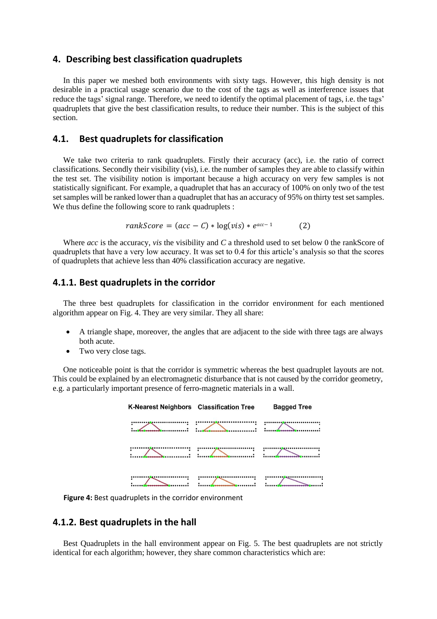#### **4. Describing best classification quadruplets**

In this paper we meshed both environments with sixty tags. However, this high density is not desirable in a practical usage scenario due to the cost of the tags as well as interference issues that reduce the tags' signal range. Therefore, we need to identify the optimal placement of tags, i.e. the tags' quadruplets that give the best classification results, to reduce their number. This is the subject of this section.

### **4.1. Best quadruplets for classification**

We take two criteria to rank quadruplets. Firstly their accuracy (acc), i.e. the ratio of correct classifications. Secondly their visibility (vis), i.e. the number of samples they are able to classify within the test set. The visibility notion is important because a high accuracy on very few samples is not statistically significant. For example, a quadruplet that has an accuracy of 100% on only two of the test set samples will be ranked lower than a quadruplet that has an accuracy of 95% on thirty test set samples. We thus define the following score to rank quadruplets :

$$
rankScore = (acc - C) * log(vis) * e^{acc-1}
$$
 (2)

Where *acc* is the accuracy, *vis* the visibility and *C* a threshold used to set below 0 the rankScore of quadruplets that have a very low accuracy. It was set to 0.4 for this article's analysis so that the scores of quadruplets that achieve less than 40% classification accuracy are negative.

# **4.1.1. Best quadruplets in the corridor**

The three best quadruplets for classification in the corridor environment for each mentioned algorithm appear on Fig. 4. They are very similar. They all share:

- A triangle shape, moreover, the angles that are adjacent to the side with three tags are always both acute.
- Two very close tags.

One noticeable point is that the corridor is symmetric whereas the best quadruplet layouts are not. This could be explained by an electromagnetic disturbance that is not caused by the corridor geometry, e.g. a particularly important presence of ferro-magnetic materials in a wall.

| K-Nearest Neighbors Classification Tree | <b>Bagged Tree</b> |
|-----------------------------------------|--------------------|
|                                         |                    |
|                                         |                    |
|                                         |                    |

**Figure 4:** Best quadruplets in the corridor environment

# **4.1.2. Best quadruplets in the hall**

Best Quadruplets in the hall environment appear on Fig. 5. The best quadruplets are not strictly identical for each algorithm; however, they share common characteristics which are: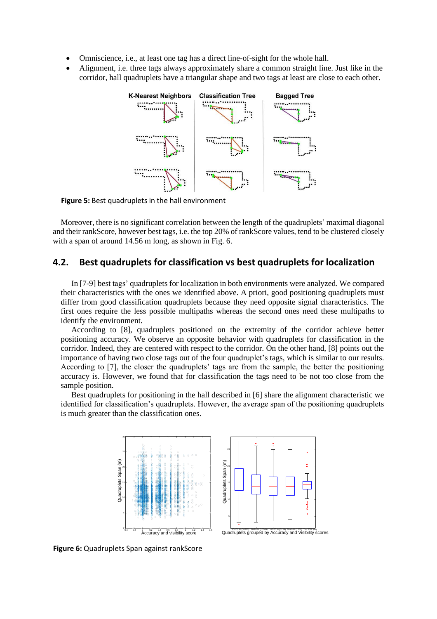- Omniscience, i.e., at least one tag has a direct line-of-sight for the whole hall.
- Alignment, i.e. three tags always approximately share a common straight line. Just like in the corridor, hall quadruplets have a triangular shape and two tags at least are close to each other.



**Figure 5:** Best quadruplets in the hall environment

Moreover, there is no significant correlation between the length of the quadruplets' maximal diagonal and their rankScore, however best tags, i.e. the top 20% of rankScore values, tend to be clustered closely with a span of around 14.56 m long, as shown in Fig. 6.

## **4.2. Best quadruplets for classification vs best quadruplets for localization**

In [7-9] best tags' quadruplets for localization in both environments were analyzed. We compared their characteristics with the ones we identified above. A priori, good positioning quadruplets must differ from good classification quadruplets because they need opposite signal characteristics. The first ones require the less possible multipaths whereas the second ones need these multipaths to identify the environment.

According to [8], quadruplets positioned on the extremity of the corridor achieve better positioning accuracy. We observe an opposite behavior with quadruplets for classification in the corridor. Indeed, they are centered with respect to the corridor. On the other hand, [8] points out the importance of having two close tags out of the four quadruplet's tags, which is similar to our results. According to [7], the closer the quadruplets' tags are from the sample, the better the positioning accuracy is. However, we found that for classification the tags need to be not too close from the sample position.

Best quadruplets for positioning in the hall described in [6] share the alignment characteristic we identified for classification's quadruplets. However, the average span of the positioning quadruplets is much greater than the classification ones.



**Figure 6:** Quadruplets Span against rankScore